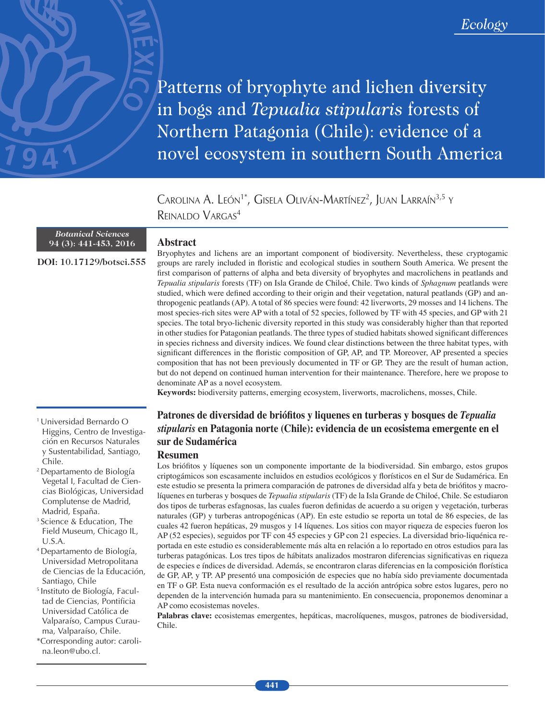Patterns of bryophyte and lichen diversity in bogs and Tepualia stipularis forests of Northern Patagonia (Chile): evidence of a novel ecosystem in southern South America

Carolina A. León<sup>1\*</sup>, Gisela Oliván-Martínez<sup>2</sup>, Juan Larraín<sup>3,5</sup> y REINALDO VARGAS4

### *Botanical Sciences*  **94 (3): 441-453, 2016**

**DOI:** 10.17129/botsci.555

# **Abstract**

Bryophytes and lichens are an important component of biodiversity. Nevertheless, these cryptogamic groups are rarely included in foristic and ecological studies in southern South America. We present the frst comparison of patterns of alpha and beta diversity of bryophytes and macrolichens in peatlands and *Tepualia stipularis* forests (TF) on Isla Grande de Chiloé, Chile. Two kinds of *Sphagnum* peatlands were studied, which were defned according to their origin and their vegetation, natural peatlands (GP) and anthropogenic peatlands (AP). A total of 86 species were found: 42 liverworts, 29 mosses and 14 lichens. The most species-rich sites were AP with a total of 52 species, followed by TF with 45 species, and GP with 21 species. The total bryo-lichenic diversity reported in this study was considerably higher than that reported in other studies for Patagonian peatlands. The three types of studied habitats showed signifcant differences in species richness and diversity indices. We found clear distinctions between the three habitat types, with signifcant differences in the foristic composition of GP, AP, and TP. Moreover, AP presented a species composition that has not been previously documented in TF or GP. They are the result of human action, but do not depend on continued human intervention for their maintenance. Therefore, here we propose to denominate AP as a novel ecosystem.

**Keywords:** biodiversity patterns, emerging ecosystem, liverworts, macrolichens, mosses, Chile.

# **Patrones de diversidad de brióftos y liquenes en turberas y bosques de** *Tepualia stipularis* **en Patagonia norte (Chile): evidencia de un ecosistema emergente en el sur de Sudamérica**

## **Resumen**

Los brióftos y líquenes son un componente importante de la biodiversidad. Sin embargo, estos grupos criptogámicos son escasamente incluidos en estudios ecológicos y forísticos en el Sur de Sudamérica. En este estudio se presenta la primera comparación de patrones de diversidad alfa y beta de brióftos y macrolíquenes en turberas y bosques de *Tepualia stipularis* (TF) de la Isla Grande de Chiloé, Chile. Se estudiaron dos tipos de turberas esfagnosas, las cuales fueron defnidas de acuerdo a su origen y vegetación, turberas naturales (GP) y turberas antropogénicas (AP). En este estudio se reporta un total de 86 especies, de las cuales 42 fueron hepáticas, 29 musgos y 14 líquenes. Los sitios con mayor riqueza de especies fueron los AP (52 especies), seguidos por TF con 45 especies y GP con 21 especies. La diversidad brio-liquénica reportada en este estudio es considerablemente más alta en relación a lo reportado en otros estudios para las turberas patagónicas. Los tres tipos de hábitats analizados mostraron diferencias signifcativas en riqueza de especies e índices de diversidad. Además, se encontraron claras diferencias en la composición forística de GP, AP, y TP. AP presentó una composición de especies que no había sido previamente documentada en TF o GP. Esta nueva conformación es el resultado de la acción antrópica sobre estos lugares, pero no dependen de la intervención humada para su mantenimiento. En consecuencia, proponemos denominar a AP como ecosistemas noveles.

**Palabras clave:** ecosistemas emergentes, hepáticas, macrolíquenes, musgos, patrones de biodiversidad, Chile.

- 1 Universidad Bernardo O Higgins, Centro de Investigación en Recursos Naturales y Sustentabilidad, Santiago, Chile.
- 2 Departamento de Biología Vegetal I, Facultad de Ciencias Biológicas, Universidad Complutense de Madrid, Madrid, España.
- 3 Science & Education, The Field Museum, Chicago IL, U.S.A.
- 4 Departamento de Biología, Universidad Metropolitana de Ciencias de la Educación, Santiago, Chile
- 5 Instituto de Biología, Facultad de Ciencias, Pontificia Universidad Católica de Valparaíso, Campus Curauma, Valparaíso, Chile.
- \*Corresponding autor: carolina.leon@ubo.cl.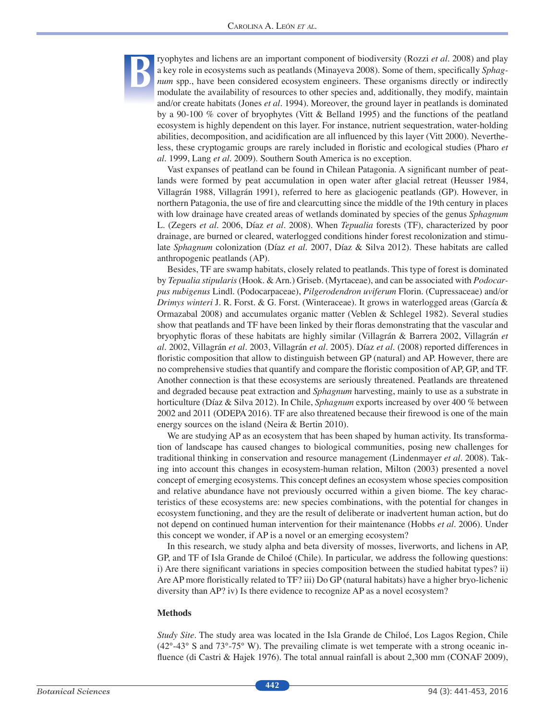ryophytes and lichens are an important component of biodiversity (Rozzi *et al.* 2008) and play a key role in ecosystems such as peatlands (Minayeva 2008). Some of them, specifcally *Sphagnum* spp., have been considered ecosystem engineers. These organisms directly or indirectly modulate the availability of resources to other species and, additionally, they modify, maintain and/or create habitats (Jones *et al*. 1994). Moreover, the ground layer in peatlands is dominated by a 90-100 % cover of bryophytes (Vitt & Belland 1995) and the functions of the peatland ecosystem is highly dependent on this layer. For instance, nutrient sequestration, water-holding abilities, decomposition, and acidifcation are all infuenced by this layer (Vitt 2000). Nevertheless, these cryptogamic groups are rarely included in foristic and ecological studies (Pharo *et al*. 1999, Lang *et al*. 2009). Southern South America is no exception.

Vast expanses of peatland can be found in Chilean Patagonia. A signifcant number of peatlands were formed by peat accumulation in open water after glacial retreat (Heusser 1984, Villagrán 1988, Villagrán 1991), referred to here as glaciogenic peatlands (GP). However, in northern Patagonia, the use of fre and clearcutting since the middle of the 19th century in places with low drainage have created areas of wetlands dominated by species of the genus *Sphagnum*  L. (Zegers *et al*. 2006, Díaz *et al*. 2008). When *Tepualia* forests (TF), characterized by poor drainage, are burned or cleared, waterlogged conditions hinder forest recolonization and stimulate *Sphagnum* colonization (Díaz *et al*. 2007, Díaz & Silva 2012). These habitats are called anthropogenic peatlands (AP).

Besides, TF are swamp habitats, closely related to peatlands. This type of forest is dominated by *Tepualia stipularis* (Hook. & Arn.) Griseb. (Myrtaceae), and can be associated with *Podocarpus nubigenus* Lindl. (Podocarpaceae), *Pilgerodendron uviferum* Florin. (Cupressaceae) and/or *Drimys winteri* J. R. Forst. & G. Forst. (Winteraceae). It grows in waterlogged areas (García & Ormazabal 2008) and accumulates organic matter (Veblen & Schlegel 1982). Several studies show that peatlands and TF have been linked by their foras demonstrating that the vascular and bryophytic foras of these habitats are highly similar (Villagrán & Barrera 2002, Villagrán *et al*. 2002, Villagrán *et al.* 2003, Villagrán *et al*. 2005). Díaz *et al*. (2008) reported differences in foristic composition that allow to distinguish between GP (natural) and AP. However, there are no comprehensive studies that quantify and compare the foristic composition of AP, GP, and TF. Another connection is that these ecosystems are seriously threatened. Peatlands are threatened and degraded because peat extraction and *Sphagnum* harvesting, mainly to use as a substrate in horticulture (Díaz & Silva 2012). In Chile, *Sphagnum* exports increased by over 400 % between 2002 and 2011 (ODEPA 2016). TF are also threatened because their frewood is one of the main energy sources on the island (Neira & Bertin 2010).

We are studying AP as an ecosystem that has been shaped by human activity. Its transformation of landscape has caused changes to biological communities, posing new challenges for traditional thinking in conservation and resource management (Lindenmayer *et al*. 2008). Taking into account this changes in ecosystem-human relation, Milton (2003) presented a novel concept of emerging ecosystems. This concept defnes an ecosystem whose species composition and relative abundance have not previously occurred within a given biome. The key characteristics of these ecosystems are: new species combinations, with the potential for changes in ecosystem functioning, and they are the result of deliberate or inadvertent human action, but do not depend on continued human intervention for their maintenance (Hobbs *et al*. 2006). Under this concept we wonder, if AP is a novel or an emerging ecosystem?

In this research, we study alpha and beta diversity of mosses, liverworts, and lichens in AP, GP, and TF of Isla Grande de Chiloé (Chile). In particular, we address the following questions: i) Are there signifcant variations in species composition between the studied habitat types? ii) Are AP more foristically related to TF? iii) Do GP (natural habitats) have a higher bryo-lichenic diversity than AP? iv) Is there evidence to recognize AP as a novel ecosystem?

#### **Methods**

**B**

*Study Site*. The study area was located in the Isla Grande de Chiloé, Los Lagos Region, Chile (42°-43° S and 73°-75° W). The prevailing climate is wet temperate with a strong oceanic infuence (di Castri & Hajek 1976). The total annual rainfall is about 2,300 mm (CONAF 2009),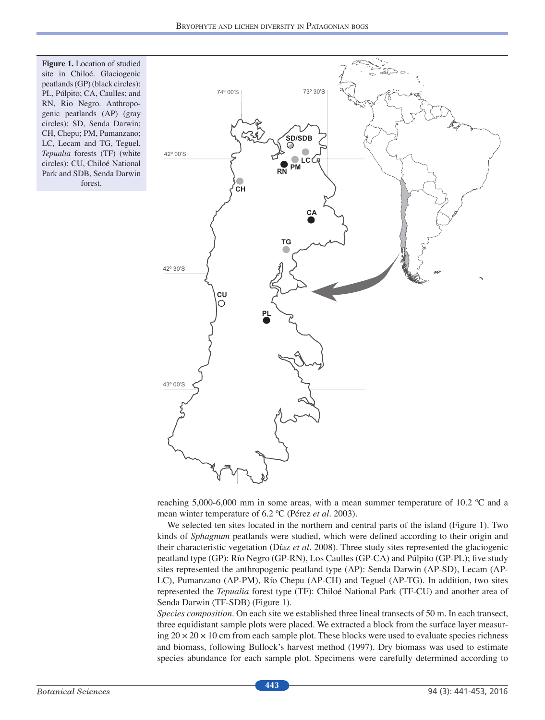**Figure 1.** Location of studied site in Chiloé. Glaciogenic peatlands (GP) (black circles): PL, Púlpito; CA, Caulles; and RN, Rio Negro. Anthropogenic peatlands (AP) (gray circles): SD, Senda Darwin; CH, Chepu; PM, Pumanzano; LC, Lecam and TG, Teguel. *Tepualia* forests (TF) (white circles): CU, Chiloé National Park and SDB, Senda Darwin forest.



reaching 5,000-6,000 mm in some areas, with a mean summer temperature of 10.2 ºC and a mean winter temperature of 6.2 ºC (Pérez *et al*. 2003).

We selected ten sites located in the northern and central parts of the island (Figure 1). Two kinds of *Sphagnum* peatlands were studied, which were defned according to their origin and their characteristic vegetation (Díaz *et al*. 2008). Three study sites represented the glaciogenic peatland type (GP): Río Negro (GP-RN), Los Caulles (GP-CA) and Púlpito (GP-PL); fve study sites represented the anthropogenic peatland type (AP): Senda Darwin (AP-SD), Lecam (AP-LC), Pumanzano (AP-PM), Río Chepu (AP-CH) and Teguel (AP-TG). In addition, two sites represented the *Tepualia* forest type (TF): Chiloé National Park (TF-CU) and another area of Senda Darwin (TF-SDB) (Figure 1).

*Species composition*. On each site we established three lineal transects of 50 m. In each transect, three equidistant sample plots were placed. We extracted a block from the surface layer measuring  $20 \times 20 \times 10$  cm from each sample plot. These blocks were used to evaluate species richness and biomass, following Bullock's harvest method (1997). Dry biomass was used to estimate species abundance for each sample plot. Specimens were carefully determined according to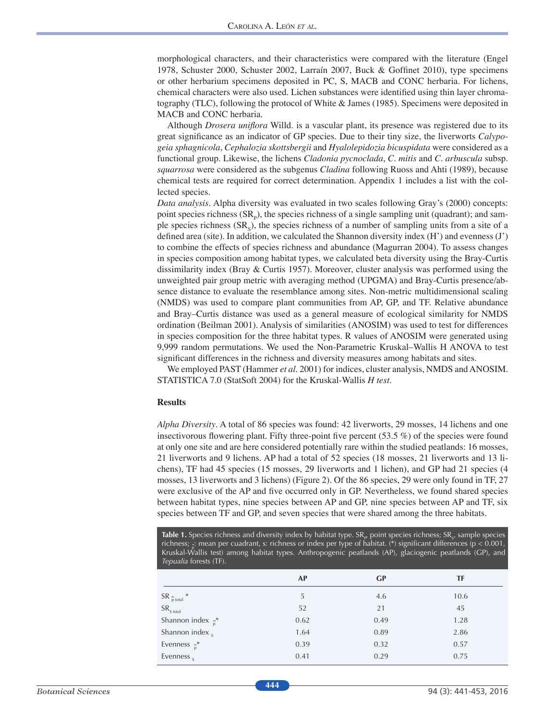morphological characters, and their characteristics were compared with the literature (Engel 1978, Schuster 2000, Schuster 2002, Larraín 2007, Buck & Goffnet 2010), type specimens or other herbarium specimens deposited in PC, S, MACB and CONC herbaria. For lichens, chemical characters were also used. Lichen substances were identifed using thin layer chromatography (TLC), following the protocol of White & James (1985). Specimens were deposited in MACB and CONC herbaria.

Although *Drosera unifora* Willd. is a vascular plant, its presence was registered due to its great signifcance as an indicator of GP species. Due to their tiny size, the liverworts *Calypogeia sphagnicola*, *Cephalozia skottsbergii* and *Hyalolepidozia bicuspidata* were considered as a functional group. Likewise, the lichens *Cladonia pycnoclada*, *C. mitis* and *C. arbuscula* subsp. *squarrosa* were considered as the subgenus *Cladina* following Ruoss and Ahti (1989), because chemical tests are required for correct determination. Appendix 1 includes a list with the collected species.

*Data analysis*. Alpha diversity was evaluated in two scales following Gray's (2000) concepts: point species richness  $(SR_p)$ , the species richness of a single sampling unit (quadrant); and sample species richness  $(SR<sub>s</sub>)$ , the species richness of a number of sampling units from a site of a defned area (site). In addition, we calculated the Shannon diversity index (H') and evenness (J') to combine the effects of species richness and abundance (Magurran 2004). To assess changes in species composition among habitat types, we calculated beta diversity using the Bray-Curtis dissimilarity index (Bray & Curtis 1957). Moreover, cluster analysis was performed using the unweighted pair group metric with averaging method (UPGMA) and Bray-Curtis presence/absence distance to evaluate the resemblance among sites. Non-metric multidimensional scaling (NMDS) was used to compare plant communities from AP, GP, and TF. Relative abundance and Bray–Curtis distance was used as a general measure of ecological similarity for NMDS ordination (Beilman 2001). Analysis of similarities (ANOSIM) was used to test for differences in species composition for the three habitat types. R values of ANOSIM were generated using 9,999 random permutations. We used the Non-Parametric Kruskal–Wallis H ANOVA to test signifcant differences in the richness and diversity measures among habitats and sites.

We employed PAST (Hammer *et al*. 2001) for indices, cluster analysis, NMDS and ANOSIM. STATISTICA 7.0 (StatSoft 2004) for the Kruskal-Wallis *H test*.

#### **Results**

*Alpha Diversity*. A total of 86 species was found: 42 liverworts, 29 mosses, 14 lichens and one insectivorous flowering plant. Fifty three-point five percent  $(53.5 \%)$  of the species were found at only one site and are here considered potentially rare within the studied peatlands: 16 mosses, 21 liverworts and 9 lichens. AP had a total of 52 species (18 mosses, 21 liverworts and 13 lichens), TF had 45 species (15 mosses, 29 liverworts and 1 lichen), and GP had 21 species (4 mosses, 13 liverworts and 3 lichens) (Figure 2). Of the 86 species, 29 were only found in TF, 27 were exclusive of the AP and fve occurred only in GP. Nevertheless, we found shared species between habitat types, nine species between AP and GP, nine species between AP and TF, six species between TF and GP, and seven species that were shared among the three habitats.

**Table 1.** Species richness and diversity index by habitat type. SR<sub> $_{\rm P}$ </sub> point species richness; SR<sub>s</sub>, sample species richness; <sub>p</sub>: mean per cuadrant, s: richness or index per type of habitat. (\*) significant differences (p < 0.001, Kruskal-Wallis test) among habitat types. Anthropogenic peatlands (AP), glaciogenic peatlands (GP), and *Tepualia* forests (TF).

|                               | AP   | GР   | TF   |
|-------------------------------|------|------|------|
| ${\sf SR}$ $_{\sf p}^-$ total | 5    | 4.6  | 10.6 |
| ${\sf SR}_{\sf S\ total}$     | 52   | 21   | 45   |
| Shannon index $\frac{1}{p}$ * | 0.62 | 0.49 | 1.28 |
| Shannon index <sub>s</sub>    | 1.64 | 0.89 | 2.86 |
| Evenness $\frac{1}{p}$ *      | 0.39 | 0.32 | 0.57 |
| Evenness,                     | 0.41 | 0.29 | 0.75 |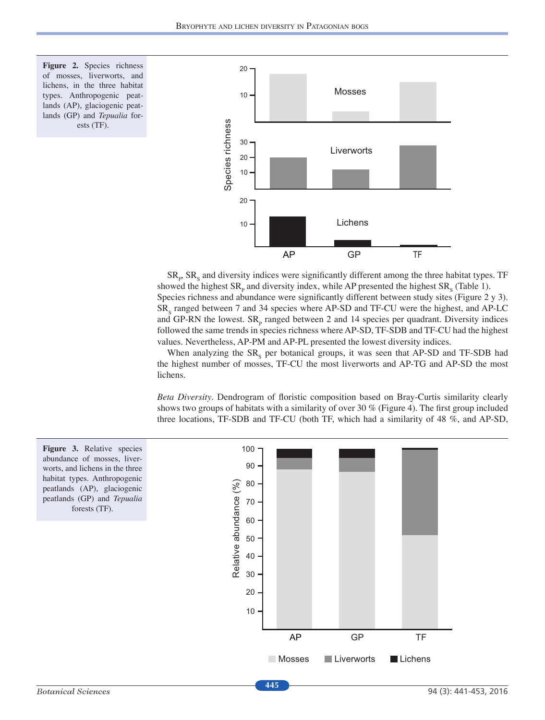



 $SR<sub>p</sub>$   $SR<sub>s</sub>$  and diversity indices were significantly different among the three habitat types. TF showed the highest  $SR<sub>p</sub>$  and diversity index, while AP presented the highest  $SR<sub>s</sub>$  (Table 1). Species richness and abundance were signifcantly different between study sites (Figure 2 y 3). SR<sub>s</sub> ranged between 7 and 34 species where AP-SD and TF-CU were the highest, and AP-LC and GP-RN the lowest.  $SR<sub>p</sub>$  ranged between 2 and 14 species per quadrant. Diversity indices followed the same trends in species richness where AP-SD, TF-SDB and TF-CU had the highest values. Nevertheless, AP-PM and AP-PL presented the lowest diversity indices.

When analyzing the  $SR<sub>s</sub>$  per botanical groups, it was seen that AP-SD and TF-SDB had the highest number of mosses, TF-CU the most liverworts and AP-TG and AP-SD the most lichens.

*Beta Diversity*. Dendrogram of foristic composition based on Bray-Curtis similarity clearly shows two groups of habitats with a similarity of over 30 % (Figure 4). The frst group included three locations, TF-SDB and TF-CU (both TF, which had a similarity of 48 %, and AP-SD,

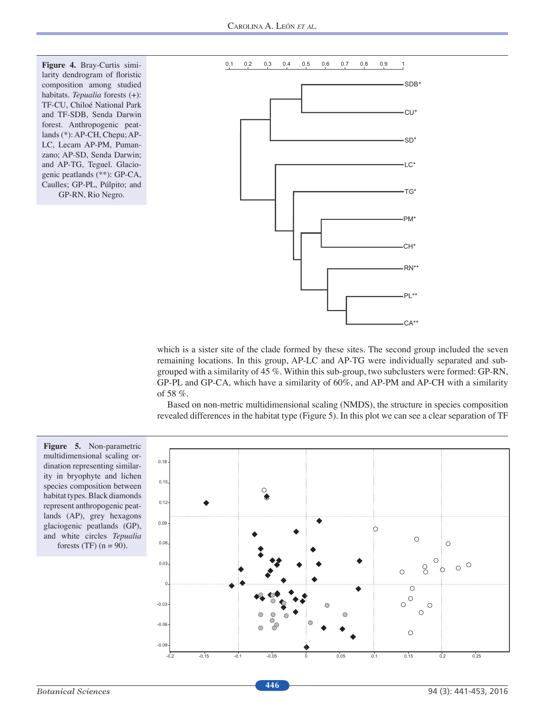**Figure 4.** Bray-Curtis similarity dendrogram of foristic composition among studied habitats. *Tepualia* forests (+): TF-CU, Chiloé National Park and TF-SDB, Senda Darwin forest. Anthropogenic peatlands (\*): AP-CH, Chepu; AP-LC, Lecam AP-PM, Pumanzano; AP-SD, Senda Darwin; and AP-TG, Teguel. Glaciogenic peatlands (\*\*): GP-CA, Caulles; GP-PL, Púlpito; and GP-RN, Rio Negro.



which is a sister site of the clade formed by these sites. The second group included the seven remaining locations. In this group, AP-LC and AP-TG were individually separated and subgrouped with a similarity of 45 %. Within this sub-group, two subclusters were formed: GP-RN, GP-PL and GP-CA, which have a similarity of 60%, and AP-PM and AP-CH with a similarity of 58 %.

Based on non-metric multidimensional scaling (NMDS), the structure in species composition revealed differences in the habitat type (Figure 5). In this plot we can see a clear separation of TF

**Figure 5.** Non-parametric multidimensional scaling ordination representing similarity in bryophyte and lichen species composition between habitat types. Black diamonds represent anthropogenic peatlands (AP), grey hexagons glaciogenic peatlands (GP), and white circles *Tepualia* forests (TF)  $(n = 90)$ .

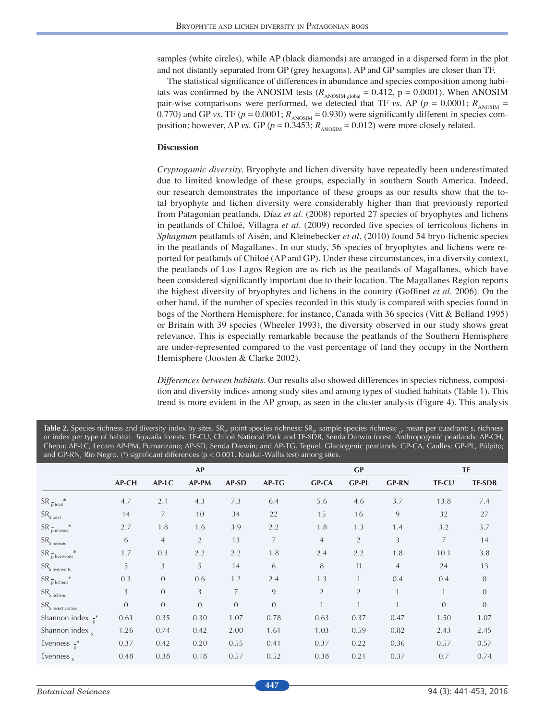samples (white circles), while AP (black diamonds) are arranged in a dispersed form in the plot and not distantly separated from GP (grey hexagons). AP and GP samples are closer than TF.

The statistical signifcance of differences in abundance and species composition among habitats was confirmed by the ANOSIM tests ( $R_{\text{ANOSIM global}} = 0.412$ , p = 0.0001). When ANOSIM pair-wise comparisons were performed, we detected that TF *vs*. AP ( $p = 0.0001$ ;  $R_{\text{ANSIM}} =$ 0.770) and GP *vs*. TF ( $p = 0.0001$ ;  $R_{\text{ANOSIM}} = 0.930$ ) were significantly different in species composition; however, AP *vs*. GP ( $p = 0.3453$ ;  $R_{\text{ANOSIM}} = 0.012$ ) were more closely related.

## **Discussion**

*Cryptogamic diversity.* Bryophyte and lichen diversity have repeatedly been underestimated due to limited knowledge of these groups, especially in southern South America. Indeed, our research demonstrates the importance of these groups as our results show that the total bryophyte and lichen diversity were considerably higher than that previously reported from Patagonian peatlands. Díaz *et al*. (2008) reported 27 species of bryophytes and lichens in peatlands of Chiloé, Villagra *et al*. (2009) recorded fve species of terricolous lichens in *Sphagnum* peatlands of Aisén, and Kleinebecker *et al*. (2010) found 54 bryo-lichenic species in the peatlands of Magallanes. In our study, 56 species of bryophytes and lichens were reported for peatlands of Chiloé (AP and GP). Under these circumstances, in a diversity context, the peatlands of Los Lagos Region are as rich as the peatlands of Magallanes, which have been considered signifcantly important due to their location. The Magallanes Region reports the highest diversity of bryophytes and lichens in the country (Goffnet *et al*. 2006). On the other hand, if the number of species recorded in this study is compared with species found in bogs of the Northern Hemisphere, for instance, Canada with 36 species (Vitt & Belland 1995) or Britain with 39 species (Wheeler 1993), the diversity observed in our study shows great relevance. This is especially remarkable because the peatlands of the Southern Hemisphere are under-represented compared to the vast percentage of land they occupy in the Northern Hemisphere (Joosten & Clarke 2002).

*Differences between habitats*. Our results also showed differences in species richness, composition and diversity indices among study sites and among types of studied habitats (Table 1). This trend is more evident in the AP group, as seen in the cluster analysis (Figure 4). This analysis

|                                  |              | AP             |                |                |                | GP             |                |                |                | <b>TF</b>     |  |
|----------------------------------|--------------|----------------|----------------|----------------|----------------|----------------|----------------|----------------|----------------|---------------|--|
|                                  | AP-CH        | AP-LC          | AP-PM          | AP-SD          | AP-TG          | <b>GP-CA</b>   | <b>GP-PL</b>   | <b>GP-RN</b>   | <b>TF-CU</b>   | <b>TF-SDB</b> |  |
| $SR_{\frac{1}{p}total}$          | 4.7          | 2.1            | 4.3            | 7.3            | 6.4            | 5.6            | 4.6            | 3.7            | 13.8           | 7.4           |  |
| ${\sf SR}_{\sf S\ total}$        | 14           | $\overline{7}$ | 10             | 34             | 22             | 15             | 16             | 9              | 32             | 27            |  |
| $SR_{p}$ mosses                  | 2.7          | 1.8            | 1.6            | 3.9            | 2.2            | 1.8            | 1.3            | 1.4            | 3.2            | 3.7           |  |
| ${\sf SR}_{\sf S\,mosses}$       | 6            | $\overline{4}$ | 2              | 13             | $\overline{7}$ | $\overline{4}$ | 2              | 3              | $\overline{7}$ | 14            |  |
| $SR_{\frac{1}{p}$ liverworts     | 1.7          | 0.3            | 2.2            | 2.2            | 1.8            | 2.4            | 2.2            | 1.8            | 10.1           | 3.8           |  |
| ${\sf SR}_{\sf S\;liverworts}$   | 5            | 3              | 5              | 14             | 6              | 8              | 11             | $\overline{4}$ | 24             | 13            |  |
| $SR_{\frac{1}{p}$ lichens        | 0.3          | $\mathbf{0}$   | 0.6            | 1.2            | 2.4            | 1.3            |                | 0.4            | 0.4            | $\mathbf{0}$  |  |
| $SRS$ lichens                    | 3            | $\mathbf{0}$   | 3              | $\overline{7}$ | 9              | $\overline{2}$ | $\overline{2}$ |                |                | $\mathbf{0}$  |  |
| ${\sf SR}_{\sf S}$ insectivorous | $\mathbf{0}$ | $\overline{0}$ | $\overline{0}$ | $\overline{0}$ | $\mathbf{0}$   | $\mathbf{1}$   |                |                | $\Omega$       | $\mathbf{0}$  |  |
| Shannon index $\frac{1}{p}$ *    | 0.61         | 0.35           | 0.30           | 1.07           | 0.78           | 0.63           | 0.37           | 0.47           | 1.50           | 1.07          |  |
| Shannon index,                   | 1.26         | 0.74           | 0.42           | 2.00           | 1.61           | 1.03           | 0.59           | 0.82           | 2.43           | 2.45          |  |
| Evenness $\frac{1}{p}$ *         | 0.37         | 0.42           | 0.20           | 0.55           | 0.41           | 0.37           | 0.22           | 0.36           | 0.57           | 0.57          |  |
| Evenness $s$                     | 0.48         | 0.38           | 0.18           | 0.57           | 0.52           | 0.38           | 0.21           | 0.37           | 0.7            | 0.74          |  |

 ${\sf Table~2.}$  Species richness and diversity index by sites.  ${\sf SR}_{\sf p}$  point species richness;  ${\sf SR}_{\sf y}$  sample species richness;  $_{\sf p'}$  mean per cuadrant; s, richness or index per type of habitat. *Tepualia* forests: TF-CU, Chiloé National Park and TF-SDB, Senda Darwin forest. Anthropogenic peatlands: AP-CH, Chepu; AP-LC, Lecam AP-PM, Pumanzano; AP-SD, Senda Darwin; and AP-TG, Teguel. Glaciogenic peatlands: GP-CA, Caulles; GP-PL, Púlpito; and GP-RN, Rio Negro. (\*) significant differences (p < 0.001, Kruskal-Wallis test) among sites.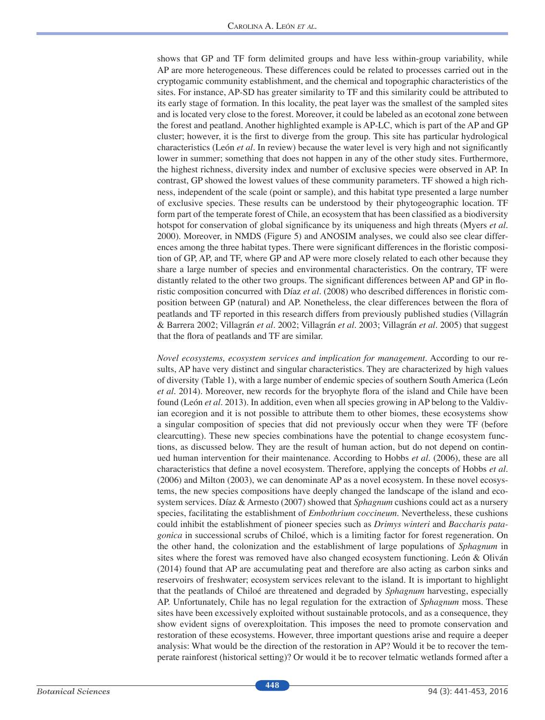shows that GP and TF form delimited groups and have less within-group variability, while AP are more heterogeneous. These differences could be related to processes carried out in the cryptogamic community establishment, and the chemical and topographic characteristics of the sites. For instance, AP-SD has greater similarity to TF and this similarity could be attributed to its early stage of formation. In this locality, the peat layer was the smallest of the sampled sites and is located very close to the forest. Moreover, it could be labeled as an ecotonal zone between the forest and peatland. Another highlighted example is AP-LC, which is part of the AP and GP cluster; however, it is the frst to diverge from the group. This site has particular hydrological characteristics (León *et al*. In review) because the water level is very high and not signifcantly lower in summer; something that does not happen in any of the other study sites. Furthermore, the highest richness, diversity index and number of exclusive species were observed in AP. In contrast, GP showed the lowest values of these community parameters. TF showed a high richness, independent of the scale (point or sample), and this habitat type presented a large number of exclusive species. These results can be understood by their phytogeographic location. TF form part of the temperate forest of Chile, an ecosystem that has been classifed as a biodiversity hotspot for conservation of global signifcance by its uniqueness and high threats (Myers *et al*. 2000). Moreover, in NMDS (Figure 5) and ANOSIM analyses, we could also see clear differences among the three habitat types. There were signifcant differences in the foristic composition of GP, AP, and TF, where GP and AP were more closely related to each other because they share a large number of species and environmental characteristics. On the contrary, TF were distantly related to the other two groups. The signifcant differences between AP and GP in foristic composition concurred with Díaz *et al*. (2008) who described differences in foristic composition between GP (natural) and AP. Nonetheless, the clear differences between the fora of peatlands and TF reported in this research differs from previously published studies (Villagrán & Barrera 2002; Villagrán *et al*. 2002; Villagrán *et al*. 2003; Villagrán *et al*. 2005) that suggest that the fora of peatlands and TF are similar.

*Novel ecosystems, ecosystem services and implication for management*. According to our results, AP have very distinct and singular characteristics. They are characterized by high values of diversity (Table 1), with a large number of endemic species of southern South America (León *et al*. 2014). Moreover, new records for the bryophyte fora of the island and Chile have been found (León *et al*. 2013). In addition, even when all species growing in AP belong to the Valdivian ecoregion and it is not possible to attribute them to other biomes, these ecosystems show a singular composition of species that did not previously occur when they were TF (before clearcutting). These new species combinations have the potential to change ecosystem functions, as discussed below. They are the result of human action, but do not depend on continued human intervention for their maintenance. According to Hobbs *et al*. (2006), these are all characteristics that defne a novel ecosystem. Therefore, applying the concepts of Hobbs *et al.* (2006) and Milton (2003), we can denominate AP as a novel ecosystem. In these novel ecosystems, the new species compositions have deeply changed the landscape of the island and ecosystem services. Díaz & Armesto (2007) showed that *Sphagnum* cushions could act as a nursery species, facilitating the establishment of *Embothrium coccineum*. Nevertheless, these cushions could inhibit the establishment of pioneer species such as *Drimys winteri* and *Baccharis patagonica* in successional scrubs of Chiloé, which is a limiting factor for forest regeneration. On the other hand, the colonization and the establishment of large populations of *Sphagnum* in sites where the forest was removed have also changed ecosystem functioning. León & Oliván (2014) found that AP are accumulating peat and therefore are also acting as carbon sinks and reservoirs of freshwater; ecosystem services relevant to the island. It is important to highlight that the peatlands of Chiloé are threatened and degraded by *Sphagnum* harvesting, especially AP. Unfortunately, Chile has no legal regulation for the extraction of *Sphagnum* moss. These sites have been excessively exploited without sustainable protocols, and as a consequence, they show evident signs of overexploitation. This imposes the need to promote conservation and restoration of these ecosystems. However, three important questions arise and require a deeper analysis: What would be the direction of the restoration in AP? Would it be to recover the temperate rainforest (historical setting)? Or would it be to recover telmatic wetlands formed after a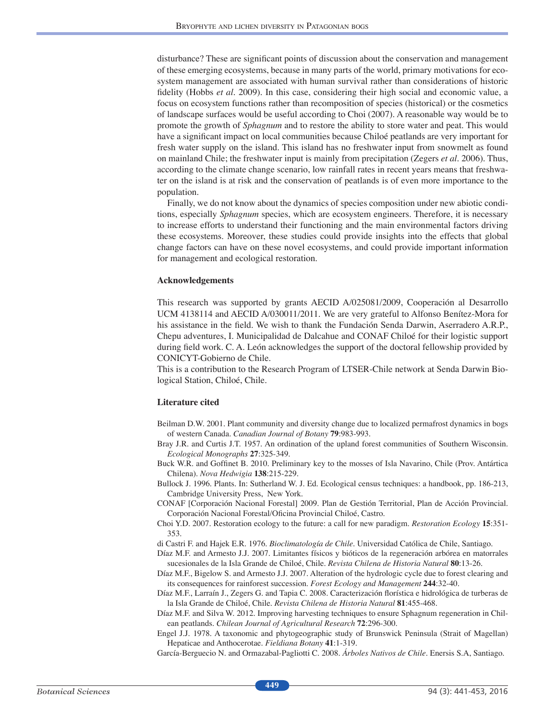disturbance? These are signifcant points of discussion about the conservation and management of these emerging ecosystems, because in many parts of the world, primary motivations for ecosystem management are associated with human survival rather than considerations of historic fdelity (Hobbs *et al*. 2009). In this case, considering their high social and economic value, a focus on ecosystem functions rather than recomposition of species (historical) or the cosmetics of landscape surfaces would be useful according to Choi (2007). A reasonable way would be to promote the growth of *Sphagnum* and to restore the ability to store water and peat. This would have a signifcant impact on local communities because Chiloé peatlands are very important for fresh water supply on the island. This island has no freshwater input from snowmelt as found on mainland Chile; the freshwater input is mainly from precipitation (Zegers *et al*. 2006). Thus, according to the climate change scenario, low rainfall rates in recent years means that freshwater on the island is at risk and the conservation of peatlands is of even more importance to the population.

Finally, we do not know about the dynamics of species composition under new abiotic conditions, especially *Sphagnum* species, which are ecosystem engineers. Therefore, it is necessary to increase efforts to understand their functioning and the main environmental factors driving these ecosystems. Moreover, these studies could provide insights into the effects that global change factors can have on these novel ecosystems, and could provide important information for management and ecological restoration.

#### **Acknowledgements**

This research was supported by grants AECID A/025081/2009, Cooperación al Desarrollo UCM 4138114 and AECID A/030011/2011. We are very grateful to Alfonso Benítez-Mora for his assistance in the feld. We wish to thank the Fundación Senda Darwin, Aserradero A.R.P., Chepu adventures, I. Municipalidad de Dalcahue and CONAF Chiloé for their logistic support during feld work. C. A. León acknowledges the support of the doctoral fellowship provided by CONICYT-Gobierno de Chile.

This is a contribution to the Research Program of LTSER-Chile network at Senda Darwin Biological Station, Chiloé, Chile.

#### **Literature cited**

- Beilman D.W. 2001. Plant community and diversity change due to localized permafrost dynamics in bogs of western Canada. *Canadian Journal of Botany* **79**:983-993.
- Bray J.R. and Curtis J.T. 1957. An ordination of the upland forest communities of Southern Wisconsin. *Ecological Monographs* **27**:325-349.
- Buck W.R. and Goffnet B. 2010. Preliminary key to the mosses of Isla Navarino, Chile (Prov. Antártica Chilena). *Nova Hedwigia* **138**:215-229.
- Bullock J. 1996. Plants. In: Sutherland W. J. Ed. Ecological census techniques: a handbook, pp. 186-213, Cambridge University Press, New York.
- CONAF [Corporación Nacional Forestal] 2009. Plan de Gestión Territorial, Plan de Acción Provincial. Corporación Nacional Forestal/Oficina Provincial Chiloé, Castro.
- Choi Y.D. 2007. Restoration ecology to the future: a call for new paradigm. *Restoration Ecology* **15**:351- 353.
- di Castri F. and Hajek E.R. 1976. *Bioclimatología de Chile*. Universidad Católica de Chile, Santiago.
- Díaz M.F. and Armesto J.J. 2007. Limitantes físicos y bióticos de la regeneración arbórea en matorrales sucesionales de la Isla Grande de Chiloé, Chile. *Revista Chilena de Historia Natural* **80**:13-26.
- Díaz M.F., Bigelow S. and Armesto J.J. 2007. Alteration of the hydrologic cycle due to forest clearing and its consequences for rainforest succession. *Forest Ecology and Management* **244**:32-40.
- Díaz M.F., Larraín J., Zegers G. and Tapia C. 2008. Caracterización forística e hidrológica de turberas de la Isla Grande de Chiloé, Chile. *Revista Chilena de Historia Natural* **81**:455-468.
- Díaz M.F. and Silva W. 2012. Improving harvesting techniques to ensure Sphagnum regeneration in Chilean peatlands. *Chilean Journal of Agricultural Research* **72**:296-300.
- Engel J.J. 1978. A taxonomic and phytogeographic study of Brunswick Peninsula (Strait of Magellan) Hepaticae and Anthocerotae. *Fieldiana Botany* **41**:1-319.

García-Berguecio N. and Ormazabal-Pagliotti C. 2008. *Árboles Nativos de Chile*. Enersis S.A, Santiago.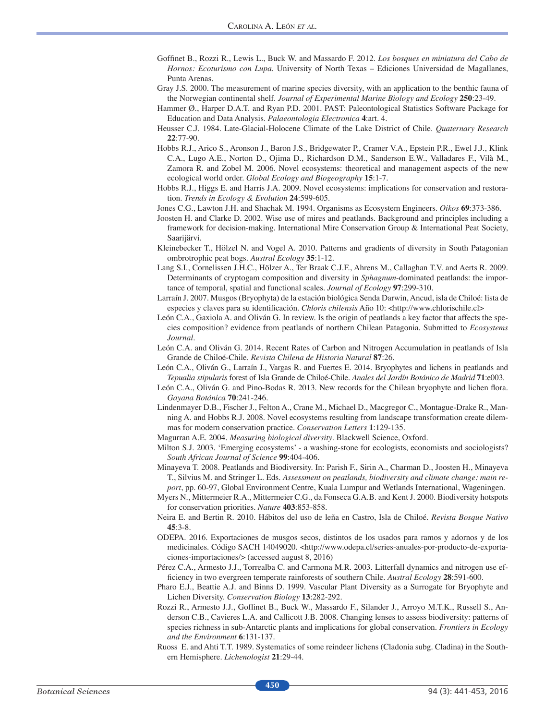- Goffnet B., Rozzi R., Lewis L., Buck W. and Massardo F. 2012. *Los bosques en miniatura del Cabo de Hornos: Ecoturismo con Lupa*. University of North Texas – Ediciones Universidad de Magallanes, Punta Arenas.
- Gray J.S. 2000. The measurement of marine species diversity, with an application to the benthic fauna of the Norwegian continental shelf. *Journal of Experimental Marine Biology and Ecology* **250**:23-49.
- Hammer Ø., Harper D.A.T. and Ryan P.D. 2001. PAST: Paleontological Statistics Software Package for Education and Data Analysis. *Palaeontologia Electronica* **4**:art. 4.
- Heusser C.J. 1984. Late-Glacial-Holocene Climate of the Lake District of Chile. *Quaternary Research*  **22**:77-90.
- Hobbs R.J., Arico S., Aronson J., Baron J.S., Bridgewater P., Cramer V.A., Epstein P.R., Ewel J.J., Klink C.A., Lugo A.E., Norton D., Ojima D., Richardson D.M., Sanderson E.W., Valladares F., Vilà M., Zamora R. and Zobel M. 2006. Novel ecosystems: theoretical and management aspects of the new ecological world order. *Global Ecology and Biogeography* **15**:1-7.
- Hobbs R.J., Higgs E. and Harris J.A. 2009. Novel ecosystems: implications for conservation and restoration. *Trends in Ecology & Evolution* **24**:599-605.
- Jones C.G., Lawton J.H. and Shachak M. 1994. Organisms as Ecosystem Engineers. *Oikos* **69**:373-386.
- Joosten H. and Clarke D. 2002. Wise use of mires and peatlands. Background and principles including a framework for decision-making. International Mire Conservation Group & International Peat Society, Saarijärvi.
- Kleinebecker T., Hölzel N. and Vogel A. 2010. Patterns and gradients of diversity in South Patagonian ombrotrophic peat bogs. *Austral Ecology* **35**:1-12.
- Lang S.I., Cornelissen J.H.C., Hölzer A., Ter Braak C.J.F., Ahrens M., Callaghan T.V. and Aerts R. 2009. Determinants of cryptogam composition and diversity in *Sphagnum*-dominated peatlands: the importance of temporal, spatial and functional scales. *Journal of Ecology* **97**:299-310.
- Larraín J. 2007. Musgos (Bryophyta) de la estación biológica Senda Darwin, Ancud, isla de Chiloé: lista de especies y claves para su identifcación. *Chloris chilensis* Año 10: <http://www.chlorischile.cl>
- León C.A., Gaxiola A. and Oliván G. In review. Is the origin of peatlands a key factor that affects the species composition? evidence from peatlands of northern Chilean Patagonia. Submitted to *Ecosystems Journal.*
- León C.A. and Oliván G. 2014. Recent Rates of Carbon and Nitrogen Accumulation in peatlands of Isla Grande de Chiloé-Chile. *Revista Chilena de Historia Natural* **87**:26.
- León C.A., Oliván G., Larraín J., Vargas R. and Fuertes E. 2014. Bryophytes and lichens in peatlands and *Tepualia stipularis* forest of Isla Grande de Chiloé-Chile. *Anales del Jardín Botánico de Madrid* **71**:e003.
- León C.A., Oliván G. and Pino-Bodas R. 2013. New records for the Chilean bryophyte and lichen fora. *Gayana Botánica* **70**:241-246.
- Lindenmayer D.B., Fischer J., Felton A., Crane M., Michael D., Macgregor C., Montague-Drake R., Manning A. and Hobbs R.J. 2008. Novel ecosystems resulting from landscape transformation create dilemmas for modern conservation practice. *Conservation Letters* **1**:129-135.
- Magurran A.E. 2004. *Measuring biological diversity*. Blackwell Science, Oxford.
- Milton S.J. 2003. 'Emerging ecosystems' a washing-stone for ecologists, economists and sociologists? *South African Journal of Science* **99**:404-406.
- Minayeva T. 2008. Peatlands and Biodiversity. In: Parish F., Sirin A., Charman D., Joosten H., Minayeva T., Silvius M. and Stringer L. Eds. *Assessment on peatlands, biodiversity and climate change: main report*, pp. 60-97, Global Environment Centre, Kuala Lumpur and Wetlands International, Wageningen.
- Myers N., Mittermeier R.A., Mittermeier C.G., da Fonseca G.A.B. and Kent J. 2000. Biodiversity hotspots for conservation priorities. *Nature* **403**:853-858.
- Neira E. and Bertin R. 2010. Hábitos del uso de leña en Castro, Isla de Chiloé. *Revista Bosque Nativo*  **45**:3-8.
- ODEPA. 2016. Exportaciones de musgos secos, distintos de los usados para ramos y adornos y de los medicinales. Código SACH 14049020. <http://www.odepa.cl/series-anuales-por-producto-de-exportaciones-importaciones/> (accessed august 8, 2016)
- Pérez C.A., Armesto J.J., Torrealba C. and Carmona M.R. 2003. Litterfall dynamics and nitrogen use effciency in two evergreen temperate rainforests of southern Chile. *Austral Ecology* **28**:591-600.
- Pharo E.J., Beattie A.J. and Binns D. 1999. Vascular Plant Diversity as a Surrogate for Bryophyte and Lichen Diversity. *Conservation Biology* **13**:282-292.
- Rozzi R., Armesto J.J., Goffnet B., Buck W., Massardo F., Silander J., Arroyo M.T.K., Russell S., Anderson C.B., Cavieres L.A. and Callicott J.B. 2008. Changing lenses to assess biodiversity: patterns of species richness in sub-Antarctic plants and implications for global conservation. *Frontiers in Ecology and the Environment* **6**:131-137.
- Ruoss E. and Ahti T.T. 1989. Systematics of some reindeer lichens (Cladonia subg. Cladina) in the Southern Hemisphere. *Lichenologist* **21**:29-44.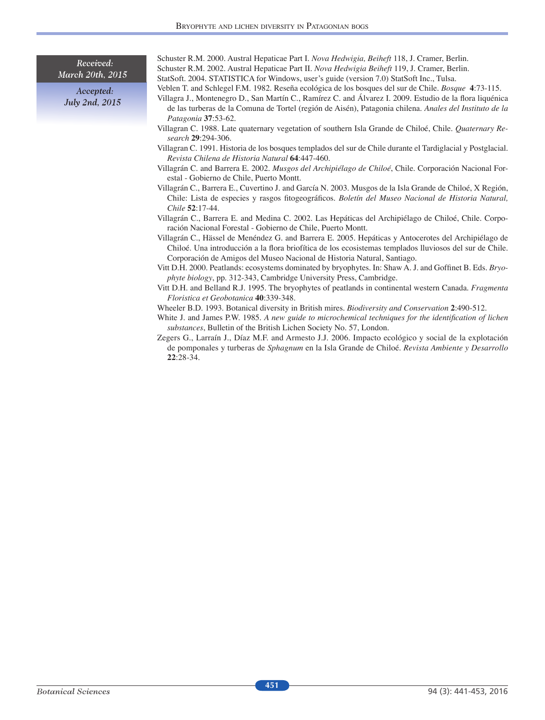Received: March 20th, 2015

> Accepted: July 2nd, 2015

Schuster R.M. 2000. Austral Hepaticae Part I. *Nova Hedwigia, Beiheft* 118, J. Cramer, Berlin. Schuster R.M. 2002. Austral Hepaticae Part II. *Nova Hedwigia Beiheft* 119, J. Cramer, Berlin. StatSoft. 2004. STATISTICA for Windows, user's guide (version 7.0) StatSoft Inc., Tulsa.

Veblen T. and Schlegel F.M. 1982. Reseña ecológica de los bosques del sur de Chile. *Bosque* **4**:73-115.

- Villagra J., Montenegro D., San Martín C., Ramírez C. and Álvarez I. 2009. Estudio de la fora liquénica de las turberas de la Comuna de Tortel (región de Aisén), Patagonia chilena. *Anales del Instituto de la Patagonia* **37**:53-62.
- Villagran C. 1988. Late quaternary vegetation of southern Isla Grande de Chiloé, Chile. *Quaternary Research* **29**:294-306.
- Villagran C. 1991. Historia de los bosques templados del sur de Chile durante el Tardiglacial y Postglacial. *Revista Chilena de Historia Natural* **64**:447-460.
- Villagrán C. and Barrera E. 2002. *Musgos del Archipiélago de Chiloé*, Chile. Corporación Nacional Forestal - Gobierno de Chile, Puerto Montt.
- Villagrán C., Barrera E., Cuvertino J. and García N. 2003. Musgos de la Isla Grande de Chiloé, X Región, Chile: Lista de especies y rasgos ftogeográfcos. *Boletín del Museo Nacional de Historia Natural, Chile* **52**:17-44.
- Villagrán C., Barrera E. and Medina C. 2002. Las Hepáticas del Archipiélago de Chiloé, Chile. Corporación Nacional Forestal - Gobierno de Chile, Puerto Montt.
- Villagrán C., Hässel de Menéndez G. and Barrera E. 2005. Hepáticas y Antocerotes del Archipiélago de Chiloé. Una introducción a la fora briofítica de los ecosistemas templados lluviosos del sur de Chile. Corporación de Amigos del Museo Nacional de Historia Natural, Santiago.
- Vitt D.H. 2000. Peatlands: ecosystems dominated by bryophytes. In: Shaw A. J. and Goffnet B. Eds. *Bryophyte biology*, pp. 312-343, Cambridge University Press, Cambridge.
- Vitt D.H. and Belland R.J. 1995. The bryophytes of peatlands in continental western Canada. *Fragmenta Floristica et Geobotanica* **40**:339-348.
- Wheeler B.D. 1993. Botanical diversity in British mires. *Biodiversity and Conservation* **2**:490-512.
- White J. and James P.W. 1985. *A new guide to microchemical techniques for the identifcation of lichen substances*, Bulletin of the British Lichen Society No. 57, London.
- Zegers G., Larraín J., Díaz M.F. and Armesto J.J. 2006. Impacto ecológico y social de la explotación de pomponales y turberas de *Sphagnum* en la Isla Grande de Chiloé. *Revista Ambiente y Desarrollo* **22**:28-34.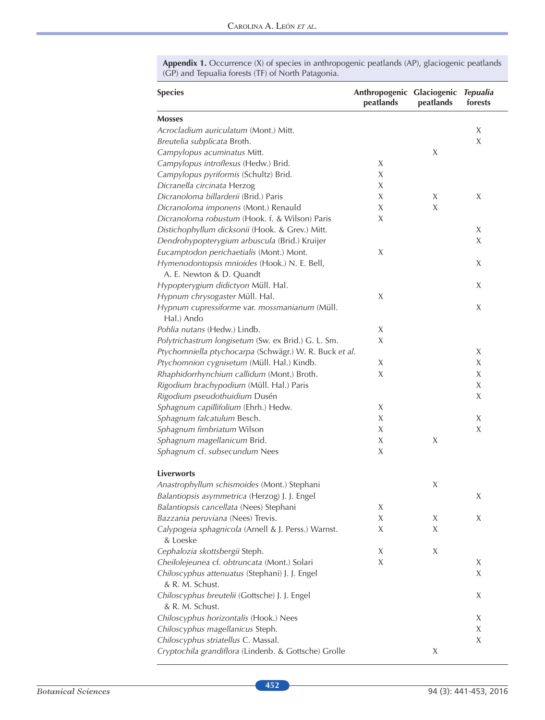| <b>Species</b>                                                    | Anthropogenic Glaciogenic<br>peatlands | peatlands | <b>Tepualia</b><br>forests |
|-------------------------------------------------------------------|----------------------------------------|-----------|----------------------------|
| <b>Mosses</b>                                                     |                                        |           |                            |
| Acrocladium auriculatum (Mont.) Mitt.                             |                                        |           | X                          |
| Breutelia subplicata Broth.                                       |                                        |           | $\chi$                     |
| Campylopus acuminatus Mitt.                                       |                                        | X         |                            |
| Campylopus introflexus (Hedw.) Brid.                              | X                                      |           |                            |
| Campylopus pyriformis (Schultz) Brid.                             | X                                      |           |                            |
| Dicranella circinata Herzog                                       | X                                      |           |                            |
| Dicranoloma billarderii (Brid.) Paris                             | X                                      | Χ         | X                          |
| Dicranoloma imponens (Mont.) Renauld                              | X                                      | X         |                            |
| Dicranoloma robustum (Hook. f. & Wilson) Paris                    | X                                      |           |                            |
| Distichophyllum dicksonii (Hook. & Grev.) Mitt.                   |                                        |           | X                          |
| Dendrohypopterygium arbuscula (Brid.) Kruijer                     |                                        |           | X                          |
| Eucamptodon perichaetialis (Mont.) Mont.                          | X                                      |           |                            |
| Hymenodontopsis mnioides (Hook.) N. E. Bell,                      |                                        |           | X                          |
| A. E. Newton & D. Quandt                                          |                                        |           |                            |
| Hypopterygium didictyon Müll. Hal.                                |                                        |           | X                          |
| Hypnum chrysogaster Müll. Hal.                                    | X                                      |           |                            |
| Hypnum cupressiforme var. mossmanianum (Müll.<br>Hal.) Ando       |                                        |           | X                          |
| Pohlia nutans (Hedw.) Lindb.                                      | X                                      |           |                            |
| Polytrichastrum longisetum (Sw. ex Brid.) G. L. Sm.               | X                                      |           |                            |
| Ptychomniella ptychocarpa (Schwägr.) W. R. Buck et al.            |                                        |           | X                          |
| Ptychomnion cygnisetum (Müll. Hal.) Kindb.                        | X                                      |           | $\chi$                     |
| Rhaphidorrhynchium callidum (Mont.) Broth.                        | X                                      |           | X                          |
| Rigodium brachypodium (Müll. Hal.) Paris                          |                                        |           | X                          |
| Rigodium pseudothuidium Dusén                                     |                                        |           | X                          |
| Sphagnum capillifolium (Ehrh.) Hedw.                              | X                                      |           |                            |
| Sphagnum falcatulum Besch.                                        | X                                      |           | X                          |
| Sphagnum fimbriatum Wilson                                        | X                                      |           | $\chi$                     |
| Sphagnum magellanicum Brid.                                       | X                                      | Χ         |                            |
| Sphagnum cf. subsecundum Nees                                     | X                                      |           |                            |
| Liverworts                                                        |                                        |           |                            |
| Anastrophyllum schismoides (Mont.) Stephani                       |                                        | Χ         |                            |
| Balantiopsis asymmetrica (Herzog) J. J. Engel                     |                                        |           | X                          |
| Balantiopsis cancellata (Nees) Stephani                           | Χ                                      |           |                            |
| Bazzania peruviana (Nees) Trevis.                                 | X                                      | Χ         | X                          |
| Calypogeia sphagnicola (Arnell & J. Perss.) Warnst.<br>& Loeske   | X                                      | Χ         |                            |
| Cephalozia skottsbergii Steph.                                    | Χ                                      | X         |                            |
| Cheilolejeunea cf. obtruncata (Mont.) Solari                      | X                                      |           | X                          |
| Chiloscyphus attenuatus (Stephani) J. J. Engel<br>& R. M. Schust. |                                        |           | X                          |
| Chiloscyphus breutelii (Gottsche) J. J. Engel<br>& R. M. Schust.  |                                        |           | X                          |
| Chiloscyphus horizontalis (Hook.) Nees                            |                                        |           | X                          |
| Chiloscyphus magellanicus Steph.                                  |                                        |           | X                          |
| Chiloscyphus striatellus C. Massal.                               |                                        |           | X                          |
| Cryptochila grandiflora (Lindenb. & Gottsche) Grolle              |                                        | Χ         |                            |

**Appendix 1.** Occurrence (X) of species in anthropogenic peatlands (AP), glaciogenic peatlands (GP) and Tepualia forests (TF) of North Patagonia.